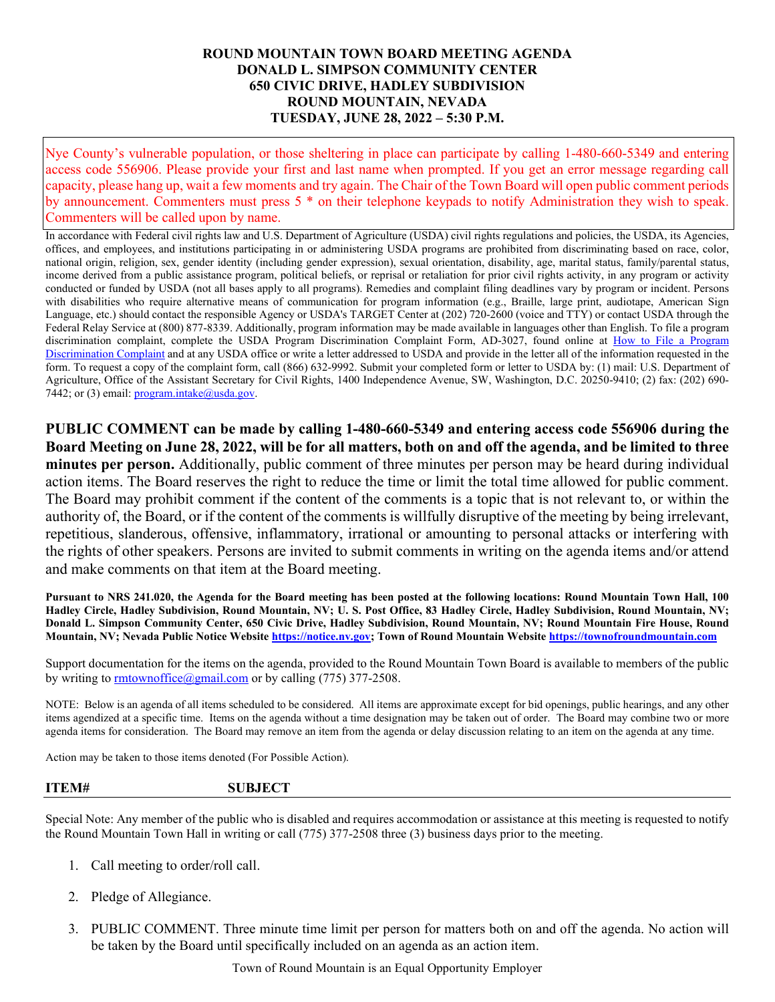## **ROUND MOUNTAIN TOWN BOARD MEETING AGENDA DONALD L. SIMPSON COMMUNITY CENTER 650 CIVIC DRIVE, HADLEY SUBDIVISION ROUND MOUNTAIN, NEVADA TUESDAY, JUNE 28, 2022 – 5:30 P.M.**

Nye County's vulnerable population, or those sheltering in place can participate by calling 1-480-660-5349 and entering access code 556906. Please provide your first and last name when prompted. If you get an error message regarding call capacity, please hang up, wait a few moments and try again. The Chair of the Town Board will open public comment periods by announcement. Commenters must press 5 \* on their telephone keypads to notify Administration they wish to speak. Commenters will be called upon by name.

In accordance with Federal civil rights law and U.S. Department of Agriculture (USDA) civil rights regulations and policies, the USDA, its Agencies, offices, and employees, and institutions participating in or administering USDA programs are prohibited from discriminating based on race, color, national origin, religion, sex, gender identity (including gender expression), sexual orientation, disability, age, marital status, family/parental status, income derived from a public assistance program, political beliefs, or reprisal or retaliation for prior civil rights activity, in any program or activity conducted or funded by USDA (not all bases apply to all programs). Remedies and complaint filing deadlines vary by program or incident. Persons with disabilities who require alternative means of communication for program information (e.g., Braille, large print, audiotape, American Sign Language, etc.) should contact the responsible Agency or USDA's TARGET Center at (202) 720-2600 (voice and TTY) or contact USDA through the Federal Relay Service at (800) 877-8339. Additionally, program information may be made available in languages other than English. To file a program discrimination complaint, complete the USDA Program Discrimination Complaint Form, AD-3027, found online at How to File a Program [Discrimination Complaint](https://www.ascr.usda.gov/how-file-program-discrimination-complaint) and at any USDA office or write a letter addressed to USDA and provide in the letter all of the information requested in the form. To request a copy of the complaint form, call (866) 632-9992. Submit your completed form or letter to USDA by: (1) mail: U.S. Department of Agriculture, Office of the Assistant Secretary for Civil Rights, 1400 Independence Avenue, SW, Washington, D.C. 20250-9410; (2) fax: (202) 690 7442; or (3) email: [program.intake@usda.gov.](mailto:program.intake@usda.gov)

**PUBLIC COMMENT can be made by calling 1-480-660-5349 and entering access code 556906 during the Board Meeting on June 28, 2022, will be for all matters, both on and off the agenda, and be limited to three minutes per person.** Additionally, public comment of three minutes per person may be heard during individual action items. The Board reserves the right to reduce the time or limit the total time allowed for public comment. The Board may prohibit comment if the content of the comments is a topic that is not relevant to, or within the authority of, the Board, or if the content of the comments is willfully disruptive of the meeting by being irrelevant, repetitious, slanderous, offensive, inflammatory, irrational or amounting to personal attacks or interfering with the rights of other speakers. Persons are invited to submit comments in writing on the agenda items and/or attend and make comments on that item at the Board meeting.

**Pursuant to NRS 241.020, the Agenda for the Board meeting has been posted at the following locations: Round Mountain Town Hall, 100 Hadley Circle, Hadley Subdivision, Round Mountain, NV; U. S. Post Office, 83 Hadley Circle, Hadley Subdivision, Round Mountain, NV; Donald L. Simpson Community Center, 650 Civic Drive, Hadley Subdivision, Round Mountain, NV; Round Mountain Fire House, Round Mountain, NV; Nevada Public Notice Websit[e https://notice.nv.gov;](https://notice.nv.gov/) Town of Round Mountain Website [https://townofroundmountain.com](https://townofroundmountain.com/)**

Support documentation for the items on the agenda, provided to the Round Mountain Town Board is available to members of the public by writing to [rmtownoffice@gmail.com](mailto:rmtownoffice@gmail.com) or by calling (775) 377-2508.

NOTE: Below is an agenda of all items scheduled to be considered. All items are approximate except for bid openings, public hearings, and any other items agendized at a specific time. Items on the agenda without a time designation may be taken out of order. The Board may combine two or more agenda items for consideration. The Board may remove an item from the agenda or delay discussion relating to an item on the agenda at any time.

Action may be taken to those items denoted (For Possible Action).

## **ITEM# SUBJECT**

Special Note: Any member of the public who is disabled and requires accommodation or assistance at this meeting is requested to notify the Round Mountain Town Hall in writing or call (775) 377-2508 three (3) business days prior to the meeting.

- 1. Call meeting to order/roll call.
- 2. Pledge of Allegiance.
- 3. PUBLIC COMMENT. Three minute time limit per person for matters both on and off the agenda. No action will be taken by the Board until specifically included on an agenda as an action item.

Town of Round Mountain is an Equal Opportunity Employer